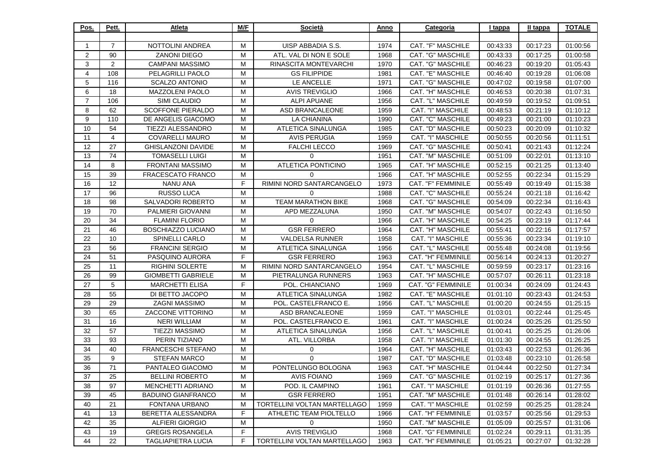| Pos.           | Pett.          | Atleta                    | M/F | Società                      | Anno | Categoria                | I tappa  | II tappa | <b>TOTALE</b> |
|----------------|----------------|---------------------------|-----|------------------------------|------|--------------------------|----------|----------|---------------|
|                |                |                           |     |                              |      |                          |          |          |               |
| -1             | $\overline{7}$ | NOTTOLINI ANDREA          | M   | UISP ABBADIA S.S.            | 1974 | CAT. "F" MASCHILE        | 00:43:33 | 00:17:23 | 01:00:56      |
| 2              | 90             | <b>ZANONI DIEGO</b>       | м   | ATL. VAL DI NON E SOLE       | 1968 | CAT. "G" MASCHILE        | 00:43:33 | 00:17:25 | 01:00:58      |
| 3              | 2              | CAMPANI MASSIMO           | M   | RINASCITA MONTEVARCHI        | 1970 | CAT. "G" MASCHILE        | 00:46:23 | 00:19:20 | 01:05:43      |
| $\overline{4}$ | 108            | PELAGRILLI PAOLO          | M   | <b>GS FILIPPIDE</b>          | 1981 | CAT. "E" MASCHILE        | 00:46:40 | 00:19:28 | 01:06:08      |
| 5              | 116            | <b>SCALZO ANTONIO</b>     | M   | LE ANCELLE                   | 1971 | CAT. "G" MASCHILE        | 00:47:02 | 00:19:58 | 01:07:00      |
| 6              | 18             | MAZZOLENI PAOLO           | M   | <b>AVIS TREVIGLIO</b>        | 1966 | CAT. "H" MASCHILE        | 00:46:53 | 00:20:38 | 01:07:31      |
| $\overline{7}$ | 106            | SIMI CLAUDIO              | M   | <b>ALPI APUANE</b>           | 1956 | CAT. "L" MASCHILE        | 00:49:59 | 00:19:52 | 01:09:51      |
| 8              | 62             | <b>SCOFFONE PIERALDO</b>  | м   | ASD BRANCALEONE              | 1959 | CAT. "I" MASCHILE        | 00:48:53 | 00:21:19 | 01:10:12      |
| 9              | 110            | DE ANGELIS GIACOMO        | M   | LA CHIANINA                  | 1990 | CAT. "C" MASCHILE        | 00:49:23 | 00:21:00 | 01:10:23      |
| 10             | 54             | TIEZZI ALESSANDRO         | м   | ATLETICA SINALUNGA           | 1985 | CAT. "D" MASCHILE        | 00:50:23 | 00:20:09 | 01:10:32      |
| 11             | 4              | <b>COVARELLI MAURO</b>    | M   | <b>AVIS PERUGIA</b>          | 1959 | CAT. "I" MASCHILE        | 00:50:55 | 00:20:56 | 01:11:51      |
| 12             | 27             | <b>GHISLANZONI DAVIDE</b> | M   | <b>FALCHI LECCO</b>          | 1969 | CAT. "G" MASCHILE        | 00:50:41 | 00:21:43 | 01:12:24      |
| 13             | 74             | <b>TOMASELLI LUIGI</b>    | м   | $\mathbf{0}$                 | 1951 | CAT. "M" MASCHILE        | 00:51:09 | 00:22:01 | 01:13:10      |
| 14             | 8              | <b>FRONTANI MASSIMO</b>   | M   | ATLETICA PONTICINO           | 1965 | CAT. "H" MASCHILE        | 00:52:15 | 00:21:25 | 01:13:40      |
| 15             | 39             | FRACESCATO FRANCO         | M   | $\Omega$                     | 1966 | CAT. "H" MASCHILE        | 00:52:55 | 00:22:34 | 01:15:29      |
| 16             | 12             | <b>NANU ANA</b>           | F.  | RIMINI NORD SANTARCANGELO    | 1973 | CAT. "F" FEMMINILE       | 00:55:49 | 00:19:49 | 01:15:38      |
| 17             | 96             | <b>RUSSO LUCA</b>         | M   | $\overline{0}$               | 1988 | <b>CAT. "C" MASCHILE</b> | 00:55:24 | 00:21:18 | 01:16:42      |
| 18             | 98             | SALVADORI ROBERTO         | м   | <b>TEAM MARATHON BIKE</b>    | 1968 | CAT. "G" MASCHILE        | 00:54:09 | 00:22:34 | 01:16:43      |
| 19             | 70             | PALMIERI GIOVANNI         | м   | APD MEZZALUNA                | 1950 | CAT. "M" MASCHILE        | 00:54:07 | 00:22:43 | 01:16:50      |
| 20             | 34             | <b>FLAMINI FLORIO</b>     | M   | $\Omega$                     | 1966 | CAT. "H" MASCHILE        | 00:54:25 | 00:23:19 | 01:17:44      |
| 21             | 46             | <b>BOSCHIAZZO LUCIANO</b> | м   | <b>GSR FERRERO</b>           | 1964 | CAT. "H" MASCHILE        | 00:55:41 | 00:22:16 | 01:17:57      |
| 22             | 10             | SPINELLI CARLO            | м   | VALDELSA RUNNER              | 1958 | CAT. "I" MASCHILE        | 00:55:36 | 00:23:34 | 01:19:10      |
| 23             | 56             | <b>FRANCINI SERGIO</b>    | м   | ATLETICA SINALUNGA           | 1956 | CAT. "L" MASCHILE        | 00:55:48 | 00:24:08 | 01:19:56      |
| 24             | 51             | PASQUINO AURORA           | F   | <b>GSR FERRERO</b>           | 1963 | CAT. "H" FEMMINILE       | 00:56:14 | 00:24:13 | 01:20:27      |
| 25             | 11             | <b>RIGHINI SOLERTE</b>    | M   | RIMINI NORD SANTARCANGELO    | 1954 | CAT. "L" MASCHILE        | 00:59:59 | 00:23:17 | 01:23:16      |
| 26             | 99             | <b>GIOMBETTI GABRIELE</b> | м   | PIETRALUNGA RUNNERS          | 1963 | CAT. "H" MASCHILE        | 00:57:07 | 00:26:11 | 01:23:18      |
| 27             | 5              | <b>MARCHETTI ELISA</b>    | F.  | POL. CHIANCIANO              | 1969 | CAT. "G" FEMMINILE       | 01:00:34 | 00:24:09 | 01:24:43      |
| 28             | 55             | DI BETTO JACOPO           | M   | ATLETICA SINALUNGA           | 1982 | CAT. "E" MASCHILE        | 01:01:10 | 00:23:43 | 01:24:53      |
| 29             | 29             | <b>ZAGNI MASSIMO</b>      | м   | POL. CASTELFRANCO E.         | 1956 | CAT. "L" MASCHILE        | 01:00:20 | 00:24:55 | 01:25:15      |
| 30             | 65             | ZACCONE VITTORINO         | M   | ASD BRANCALEONE              | 1959 | CAT. "I" MASCHILE        | 01:03:01 | 00:22:44 | 01:25:45      |
| 31             | 16             | <b>NERI WILLIAM</b>       | M   | POL. CASTELFRANCO E.         | 1961 | CAT. "I" MASCHILE        | 01:00:24 | 00:25:26 | 01:25:50      |
| 32             | 57             | TIEZZI MASSIMO            | м   | <b>ATLETICA SINALUNGA</b>    | 1956 | CAT. "L" MASCHILE        | 01:00:41 | 00:25:25 | 01:26:06      |
| 33             | 93             | PERIN TIZIANO             | M   | ATL. VILLORBA                | 1958 | <b>CAT. "I" MASCHILE</b> | 01:01:30 | 00:24:55 | 01:26:25      |
| 34             | 40             | FRANCESCHI STEFANO        | M   | $\mathbf 0$                  | 1964 | CAT. "H" MASCHILE        | 01:03:43 | 00:22:53 | 01:26:36      |
| 35             | 9              | <b>STEFAN MARCO</b>       | м   | $\mathbf 0$                  | 1987 | CAT. "D" MASCHILE        | 01:03:48 | 00:23:10 | 01:26:58      |
| 36             | 71             | PANTALEO GIACOMO          | M   | PONTELUNGO BOLOGNA           | 1963 | CAT. "H" MASCHILE        | 01:04:44 | 00:22:50 | 01:27:34      |
| 37             | 25             | <b>BELLINI ROBERTO</b>    | М   | <b>AVIS FOIANO</b>           | 1969 | CAT. "G" MASCHILE        | 01:02:19 | 00:25:17 | 01:27:36      |
| 38             | 97             | MENCHETTI ADRIANO         | м   | POD. IL CAMPINO              | 1961 | CAT. "I" MASCHILE        | 01:01:19 | 00:26:36 | 01:27:55      |
| 39             | 45             | <b>BADUINO GIANFRANCO</b> | M   | <b>GSR FERRERO</b>           | 1951 | CAT. "M" MASCHILE        | 01:01:48 | 00:26:14 | 01:28:02      |
| 40             | 21             | FONTANA URBANO            | M   | TORTELLINI VOLTAN MARTELLAGO | 1959 | CAT. "I" MASCHILE        | 01:02:59 | 00:25:25 | 01:28:24      |
| 41             | 13             | BERETTA ALESSANDRA        | F   | ATHLETIC TEAM PIOLTELLO      | 1966 | CAT. "H" FEMMINILE       | 01:03:57 | 00:25:56 | 01:29:53      |
| 42             | 35             | ALFIERI GIORGIO           | M   | $\mathbf{0}$                 | 1950 | CAT. "M" MASCHILE        | 01:05:09 | 00:25:57 | 01:31:06      |
| 43             | 19             | <b>GREGIS ROSANGELA</b>   | F   | <b>AVIS TREVIGLIO</b>        | 1968 | CAT. "G" FEMMINILE       | 01:02:24 | 00:29:11 | 01:31:35      |
| 44             | 22             | <b>TAGLIAPIETRA LUCIA</b> | F   | TORTELLINI VOLTAN MARTELLAGO | 1963 | CAT. "H" FEMMINILE       | 01:05:21 | 00:27:07 | 01:32:28      |
|                |                |                           |     |                              |      |                          |          |          |               |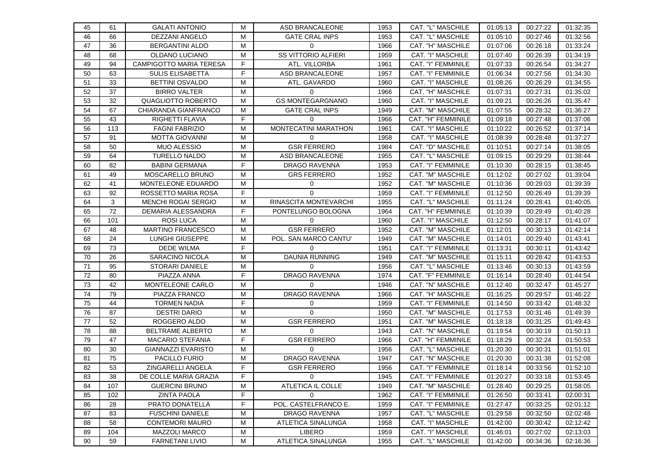| 45 | 61  | <b>GALATI ANTONIO</b>      | м | <b>ASD BRANCALEONE</b>     | 1953 | CAT. "L" MASCHILE  | 01:05:13 | 00:27:22 | 01:32:35 |
|----|-----|----------------------------|---|----------------------------|------|--------------------|----------|----------|----------|
| 46 | 66  | <b>DEZZANI ANGELO</b>      | M | <b>GATE CRAL INPS</b>      | 1953 | CAT. "L" MASCHILE  | 01:05:10 | 00:27:46 | 01:32:56 |
| 47 | 36  | <b>BERGANTINI ALDO</b>     | м | $\Omega$                   | 1966 | CAT. "H" MASCHILE  | 01:07:06 | 00:26:18 | 01:33:24 |
| 48 | 68  | OLDANO LUCIANO             | м | <b>SS VITTORIO ALFIERI</b> | 1959 | CAT. "I" MASCHILE  | 01:07:40 | 00:26:39 | 01:34:19 |
| 49 | 94  | CAMPIGOTTO MARIA TERESA    | F | ATL. VILLORBA              | 1961 | CAT. "I" FEMMINILE | 01:07:33 | 00:26:54 | 01:34:27 |
| 50 | 63  | <b>SULIS ELISABETTA</b>    | F | <b>ASD BRANCALEONE</b>     | 1957 | CAT. "I" FEMMINILE | 01:06:34 | 00:27:56 | 01:34:30 |
| 51 | 33  | <b>BETTINI OSVALDO</b>     | M | ATL. GAVARDO               | 1960 | CAT. "I" MASCHILE  | 01:08:26 | 00:26:29 | 01:34:55 |
| 52 | 37  | <b>BIRRO VALTER</b>        | M | 0                          | 1966 | CAT. "H" MASCHILE  | 01:07:31 | 00:27:31 | 01:35:02 |
| 53 | 32  | QUAGLIOTTO ROBERTO         | м | <b>GS MONTEGARGNANO</b>    | 1960 | CAT. "I" MASCHILE  | 01:09:21 | 00:26:26 | 01:35:47 |
| 54 | 67  | CHIARANDA GIANFRANCO       | м | <b>GATE CRAL INPS</b>      | 1949 | CAT. "M" MASCHILE  | 01:07:55 | 00:28:32 | 01:36:27 |
| 55 | 43  | RIGHETTI FLAVIA            | F | 0                          | 1966 | CAT. "H" FEMMINILE | 01:09:18 | 00:27:48 | 01:37:06 |
| 56 | 113 | <b>FAGNI FABRIZIO</b>      | M | MONTECATINI MARATHON       | 1961 | CAT. "I" MASCHILE  | 01:10:22 | 00:26:52 | 01:37:14 |
| 57 | 91  | <b>MOTTA GIOVANNI</b>      | м | $\Omega$                   | 1958 | CAT. "I" MASCHILE  | 01:08:39 | 00:28:48 | 01:37:27 |
| 58 | 50  | <b>MUO ALESSIO</b>         | м | <b>GSR FERRERO</b>         | 1984 | CAT. "D" MASCHILE  | 01:10:51 | 00:27:14 | 01:38:05 |
| 59 | 64  | TURELLO NALDO              | M | ASD BRANCALEONE            | 1955 | CAT. "L" MASCHILE  | 01:09:15 | 00:29:29 | 01:38:44 |
| 60 | 82  | <b>BABINI GERMANA</b>      | F | DRAGO RAVENNA              | 1953 | CAT. "I" FEMMINILE | 01:10:30 | 00:28:15 | 01:38:45 |
| 61 | 49  | MOSCARELLO BRUNO           | м | <b>GRS FERRERO</b>         | 1952 | CAT. "M" MASCHILE  | 01:12:02 | 00:27:02 | 01:39:04 |
| 62 | 41  | MONTELEONE EDUARDO         | M | 0                          | 1952 | CAT. "M" MASCHILE  | 01:10:36 | 00:29:03 | 01:39:39 |
| 63 | 92  | ROSSETTO MARIA ROSA        | F | $\Omega$                   | 1959 | CAT. "I" FEMMINILE | 01:12:50 | 00:26:49 | 01:39:39 |
| 64 | 3   | <b>MENCHI ROGAI SERGIO</b> | м | RINASCITA MONTEVARCHI      | 1955 | CAT. "L" MASCHILE  | 01:11:24 | 00:28:41 | 01:40:05 |
| 65 | 72  | DEMARIA ALESSANDRA         | F | PONTELUNGO BOLOGNA         | 1964 | CAT. "H" FEMMINILE | 01:10:39 | 00:29:49 | 01:40:28 |
| 66 | 101 | ROSI LUCA                  | М | 0                          | 1960 | CAT. "I" MASCHILE  | 01:12:50 | 00:28:17 | 01:41:07 |
| 67 | 48  | <b>MARTINO FRANCESCO</b>   | м | <b>GSR FERRERO</b>         | 1952 | CAT. "M" MASCHILE  | 01:12:01 | 00:30:13 | 01:42:14 |
| 68 | 24  | LUNGHI GIUSEPPE            | м | POL. SAN MARCO CANTU'      | 1949 | CAT. "M" MASCHILE  | 01:14:01 | 00:29:40 | 01:43:41 |
| 69 | 73  | DEDE WILMA                 | F | 0                          | 1951 | CAT. "I" FEMMINILE | 01:13:31 | 00:30:11 | 01:43:42 |
| 70 | 26  | SARACINO NICOLA            | м | DAUNIA RUNNING             | 1949 | CAT. "M" MASCHILE  | 01:15:11 | 00:28:42 | 01:43:53 |
| 71 | 95  | <b>STORARI DANIELE</b>     | м | $\Omega$                   | 1956 | CAT. "L" MASCHILE  | 01:13:46 | 00:30:13 | 01:43:59 |
| 72 | 80  | PIAZZA ANNA                | F | DRAGO RAVENNA              | 1974 | CAT. "F" FEMMINILE | 01:16:14 | 00:28:40 | 01:44:54 |
| 73 | 42  | MONTELEONE CARLO           | м | $\Omega$                   | 1946 | CAT. "N" MASCHILE  | 01:12:40 | 00:32:47 | 01:45:27 |
| 74 | 79  | PIAZZA FRANCO              | M | DRAGO RAVENNA              | 1966 | CAT. "H" MASCHILE  | 01:16:25 | 00:29:57 | 01:46:22 |
| 75 | 44  | <b>TORMEN NADIA</b>        | F | 0                          | 1959 | CAT. "I" FEMMINILE | 01:14:50 | 00:33:42 | 01:48:32 |
| 76 | 87  | <b>DESTRI DARIO</b>        | M | 0                          | 1950 | CAT. "M" MASCHILE  | 01:17:53 | 00:31:46 | 01:49:39 |
| 77 | 52  | ROGGERO ALDO               | м | <b>GSR FERRERO</b>         | 1951 | CAT. "M" MASCHILE  | 01:18:18 | 00:31:25 | 01:49:43 |
| 78 | 88  | BELTRAME ALBERTO           | M | $\mathbf 0$                | 1943 | CAT. "N" MASCHILE  | 01:19:54 | 00:30:19 | 01:50:13 |
| 79 | 47  | <b>MACARIO STEFANIA</b>    | F | <b>GSR FERRERO</b>         | 1966 | CAT. "H" FEMMINILE | 01:18:29 | 00:32:24 | 01:50:53 |
| 80 | 30  | GIANNAZZI EVARISTO         | м | 0                          | 1956 | CAT. "L" MASCHILE  | 01:20:30 | 00:30:31 | 01:51:01 |
| 81 | 75  | <b>PACILLO FURIO</b>       | M | DRAGO RAVENNA              | 1947 | CAT. "N" MASCHILE  | 01:20:30 | 00:31:38 | 01:52:08 |
| 82 | 53  | ZINGARELLI ANGELA          | F | <b>GSR FERRERO</b>         | 1956 | CAT. "I" FEMMINILE | 01:18:14 | 00:33:56 | 01:52:10 |
| 83 | 38  | DE COLLE MARIA GRAZIA      | F | $\mathbf{0}$               | 1945 | CAT. "I" FEMMINILE | 01:20:27 | 00:33:18 | 01:53:45 |
| 84 | 107 | <b>GUERCINI BRUNO</b>      | м | ATLETICA IL COLLE          | 1949 | CAT. "M" MASCHILE  | 01:28:40 | 00:29:25 | 01:58:05 |
| 85 | 102 | <b>ZINTA PAOLA</b>         | F | $\Omega$                   | 1962 | CAT. "I" FEMMINILE | 01:26:50 | 00:33:41 | 02:00:31 |
| 86 | 28  | PRATO DONATELLA            | F | POL. CASTELFRANCO E.       | 1959 | CAT. "I" FEMMINILE | 01:27:47 | 00:33:25 | 02:01:12 |
| 87 | 83  | <b>FUSCHINI DANIELE</b>    | M | DRAGO RAVENNA              | 1957 | CAT. "L" MASCHILE  | 01:29:58 | 00:32:50 | 02:02:48 |
| 88 | 58  | <b>CONTEMORI MAURO</b>     | M | ATLETICA SINALUNGA         | 1958 | CAT. "I" MASCHILE  | 01:42:00 | 00:30:42 | 02:12:42 |
| 89 | 104 | <b>MAZZOLI MARCO</b>       | M | LIBERO                     | 1959 | CAT. "I" MASCHILE  | 01:46:01 | 00:27:02 | 02:13:03 |
| 90 | 59  | <b>FARNETANI LIVIO</b>     | M | ATLETICA SINALUNGA         | 1955 | CAT. "L" MASCHILE  | 01:42:00 | 00:34:36 | 02:16:36 |